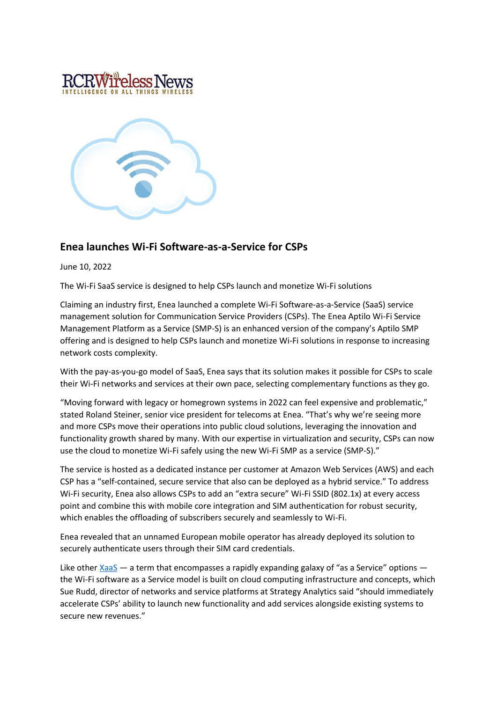



## **Enea launches Wi-Fi Software-as-a-Service for CSPs**

June 10, 2022

The Wi-Fi SaaS service is designed to help CSPs launch and monetize Wi-Fi solutions

Claiming an industry first, Enea launched a complete Wi-Fi Software-as-a-Service (SaaS) service management solution for Communication Service Providers (CSPs). The Enea Aptilo Wi-Fi Service Management Platform as a Service (SMP-S) is an enhanced version of the company's Aptilo SMP offering and is designed to help CSPs launch and monetize Wi-Fi solutions in response to increasing network costs complexity.

With the pay-as-you-go model of SaaS, Enea says that its solution makes it possible for CSPs to scale their Wi-Fi networks and services at their own pace, selecting complementary functions as they go.

"Moving forward with legacy or homegrown systems in 2022 can feel expensive and problematic," stated Roland Steiner, senior vice president for telecoms at Enea. "That's why we're seeing more and more CSPs move their operations into public cloud solutions, leveraging the innovation and functionality growth shared by many. With our expertise in virtualization and security, CSPs can now use the cloud to monetize Wi-Fi safely using the new Wi-Fi SMP as a service (SMP-S)."

The service is hosted as a dedicated instance per customer at Amazon Web Services (AWS) and each CSP has a "self-contained, secure service that also can be deployed as a hybrid service." To address Wi-Fi security, Enea also allows CSPs to add an "extra secure" Wi-Fi SSID (802.1x) at every access point and combine this with mobile core integration and SIM authentication for robust security, which enables the offloading of subscribers securely and seamlessly to Wi-Fi.

Enea revealed that an unnamed European mobile operator has already deployed its solution to securely authenticate users through their SIM card credentials.

Like other  $XaaS$  — a term that encompasses a rapidly expanding galaxy of "as a Service" options the Wi-Fi software as a Service model is built on cloud computing infrastructure and concepts, which Sue Rudd, director of networks and service platforms at Strategy Analytics said "should immediately accelerate CSPs' ability to launch new functionality and add services alongside existing systems to secure new revenues."